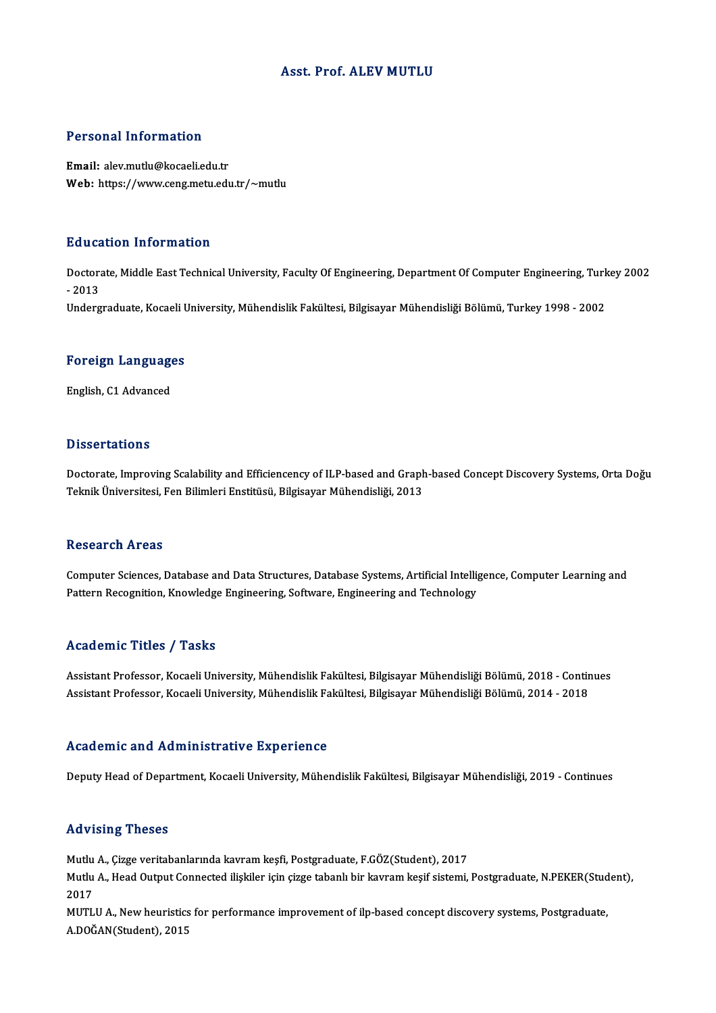### Asst. Prof. ALEV MUTLU

#### Personal Information

Email: alev.mutlu@kocaeli.edu.tr Web: https://www.ceng.metu.edu.tr/~mutlu

#### Education Information

**Education Information**<br>Doctorate, Middle East Technical University, Faculty Of Engineering, Department Of Computer Engineering, Turkey 2002<br>2013 Dause<br>Doctora<br>- 2013<br>Underg - 2013<br>Undergraduate, Kocaeli University, Mühendislik Fakültesi, Bilgisayar Mühendisliği Bölümü, Turkey 1998 - 2002

## <sub>ondergraduate, Kocaen t<br>Foreign Languages</sub> <mark>Foreign Languag</mark>e<br>English, C1 Advanced

English, C1 Advanced<br>Dissertations

Dissertations<br>Doctorate, Improving Scalability and Efficiencency of ILP-based and Graph-based Concept Discovery Systems, Orta Doğu<br>Telmik Üniversitesi, Een Bilimleri Enstitüsü, Bilgisayar Mühandisliği, 2012 Dissosi tatrome<br>Doctorate, Improving Scalability and Efficiencency of ILP-based and Graph<br>Teknik Üniversitesi, Fen Bilimleri Enstitüsü, Bilgisayar Mühendisliği, 2013 Teknik Üniversitesi, Fen Bilimleri Enstitüsü, Bilgisayar Mühendisliği, 2013<br>Research Areas

Research Areas<br>Computer Sciences, Database and Data Structures, Database Systems, Artificial Intelligence, Computer Learning and<br>Pettern Besegnition, Knowledge Engineering, Seftynge, Engineering and Technology resear en 111 025<br>Computer Sciences, Database and Data Structures, Database Systems, Artificial Intelli<sub>{</sub><br>Pattern Recognition, Knowledge Engineering, Software, Engineering and Technology Pattern Recognition, Knowledge Engineering, Software, Engineering and Technology<br>Academic Titles / Tasks

Academic Titles / Tasks<br>Assistant Professor, Kocaeli University, Mühendislik Fakültesi, Bilgisayar Mühendisliği Bölümü, 2018 - Continues<br>Assistant Professor, Kocaeli University, Mühendislik Fakültesi, Bilgisayar Mühendisli 110aa omne 111105 / 1115115<br>Assistant Professor, Kocaeli University, Mühendislik Fakültesi, Bilgisayar Mühendisliği Bölümü, 2018 - Contir<br>Assistant Professor, Kocaeli University, Mühendislik Fakültesi, Bilgisayar Mühendisl Assistant Professor, Kocaeli University, Mühendislik Fakültesi, Bilgisayar Mühendisliği Bölümü, 2014 - 2018<br>Academic and Administrative Experience

Deputy Head of Department, Kocaeli University, Mühendislik Fakültesi, Bilgisayar Mühendisliği, 2019 - Continues

#### Advising Theses

Advising Theses<br>Mutlu A., Çizge veritabanlarında kavram keşfi, Postgraduate, F.GÖZ(Student), 2017<br>Mutlu A., Heed Qutput Connected ilialiler isin sirge tabanlı bir kayram kesif sistemi

rta vising "Freses"<br>Mutlu A., Çizge veritabanlarında kavram keşfi, Postgraduate, F.GÖZ(Student), 2017<br>Mutlu A., Head Output Connected ilişkiler için çizge tabanlı bir kavram keşif sistemi, Postgraduate, N.PEKER(Student), Mutlu<br>Mutlu<br>2017<br>MUTI Mutlu A., Head Output Connected ilişkiler için çizge tabanlı bir kavram keşif sistemi, Postgraduate, N.PEKER(Stud<br>2017<br>MUTLU A., New heuristics for performance improvement of ilp-based concept discovery systems, Postgradua

2017<br>MUTLU A., New heuristics for performance improvement of ilp-based concept discovery systems, Postgraduate,<br>A.DOĞAN(Student), 2015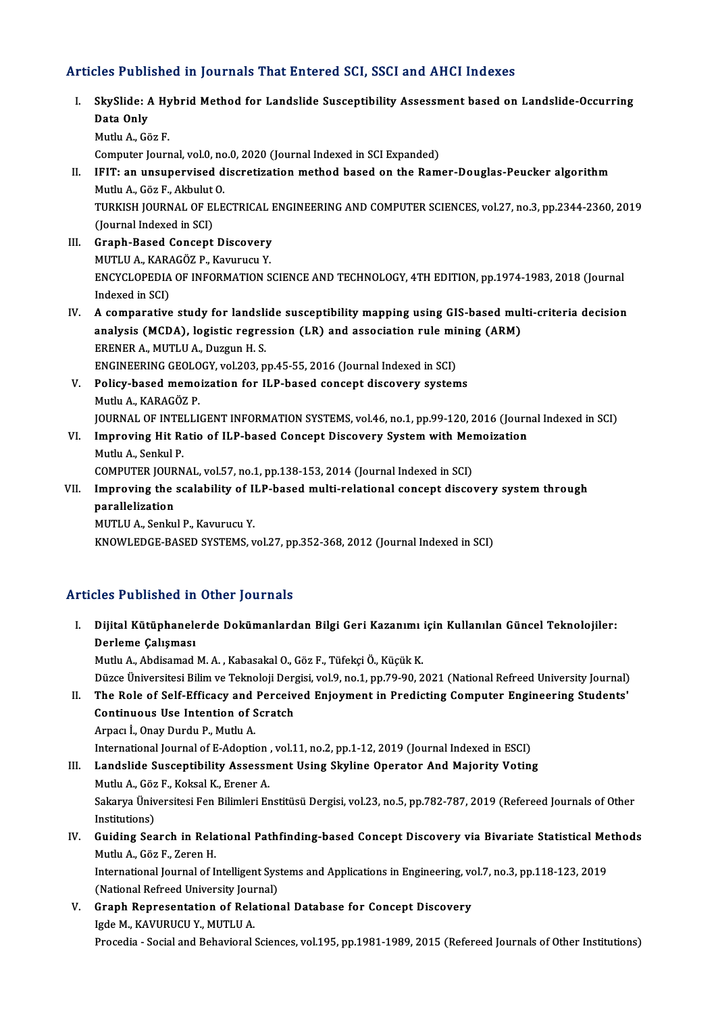## Articles Published in Journals That Entered SCI, SSCI and AHCI Indexes

rticles Published in Journals That Entered SCI, SSCI and AHCI Indexes<br>I. SkySlide: A Hybrid Method for Landslide Susceptibility Assessment based on Landslide-Occurring<br>Pata Only SkySlide: A<br>Data Only<br>Muth A Co Data Only<br>Mutlu A., Göz F. Computer Journal, vol.0, no.0, 2020 (Journal Indexed in SCI Expanded) Mutlu A., Göz F.<br>Computer Journal, vol.0, no.0, 2020 (Journal Indexed in SCI Expanded)<br>II. IFIT: an unsupervised discretization method based on the Ramer-Douglas-Peucker algorithm<br>Mutly A. Cöz E. Althylut O Computer Journal, vol.0, no<br>IFIT: an unsupervised d<br>Mutlu A., Göz F., Akbulut O.<br>TURKISH JOURNAL OF ELE IFIT: an unsupervised discretization method based on the Ramer-Douglas-Peucker algorithm<br>Mutlu A., Göz F., Akbulut O.<br>TURKISH JOURNAL OF ELECTRICAL ENGINEERING AND COMPUTER SCIENCES, vol.27, no.3, pp.2344-2360, 2019<br>(Jaunn Mutlu A., Göz F., Akbulut<br>TURKISH JOURNAL OF EI<br>(Journal Indexed in SCI)<br>Cranh Based Cansant TURKISH JOURNAL OF ELECTRICAL I<br>(Journal Indexed in SCI)<br>III. Graph-Based Concept Discovery<br>MUTHIA KARAGÖZ B KATURUSU Y (Journal Indexed in SCI)<br>Graph-Based Concept Discovery<br>MUTLU A., KARAGÖZ P., Kavurucu Y.<br>ENCYCLOPEDIA OF INFORMATION S Graph-Based Concept Discovery<br>MUTLU A., KARAGÖZ P., Kavurucu Y.<br>ENCYCLOPEDIA OF INFORMATION SCIENCE AND TECHNOLOGY, 4TH EDITION, pp.1974-1983, 2018 (Journal MUTLU A., KARA<br>ENCYCLOPEDIA<br>Indexed in SCI)<br>A comporative ENCYCLOPEDIA OF INFORMATION SCIENCE AND TECHNOLOGY, 4TH EDITION, pp.1974-1983, 2018 (Journal<br>Indexed in SCI)<br>IV. A comparative study for landslide susceptibility mapping using GIS-based multi-criteria decision<br>analysis (MC Indexed in SCI)<br>A comparative study for landslide susceptibility mapping using GIS-based mul<br>analysis (MCDA), logistic regression (LR) and association rule mining (ARM)<br>ERENER A MUTHI A Duggun H S analysis (MCDA), logistic regression (LR) and association rule mining (ARM) ERENER A., MUTLU A., Duzgun H.S. analysis (MCDA), logistic regression (LR) and association rule min<br>ERENER A., MUTLU A., Duzgun H. S.<br>ENGINEERING GEOLOGY, vol.203, pp.45-55, 2016 (Journal Indexed in SCI)<br>Polisy based memoiration for H.P based sensont disc V. Policy-based memoization for ILP-based concept discovery systems<br>Mutlu A., KARAGÖZ P. ENGINEERING GEOLO<br>Policy-based memo<br>Mutlu A., KARAGÖZ P.<br>JOUPNAL OF INTELLI JOURNAL OF INTELLIGENT INFORMATION SYSTEMS, vol.46, no.1, pp.99-120, 2016 (Journal Indexed in SCI) Mutlu A., KARAGÖZ P.<br>JOURNAL OF INTELLIGENT INFORMATION SYSTEMS, vol.46, no.1, pp.99-120, 2016 (Journ<br>VI. Improving Hit Ratio of ILP-based Concept Discovery System with Memoization<br>Mutly A. Sophal P. Mutlu A., Senkul P. Improving Hit Ratio of ILP-based Concept Discovery System with Mer<br>Mutlu A., Senkul P.<br>COMPUTER JOURNAL, vol.57, no.1, pp.138-153, 2014 (Journal Indexed in SCI)<br>Improving the esclability of H.P. based multi-relational sens VII. Improving the scalability of ILP-based multi-relational concept discovery system through parallelization COMPUTER JOURNAL, vol.57, no.1, pp.138-153, 2014 (Journal Indexed in SCI) MUTLU A., Senkul P., Kavurucu Y. KNOWLEDGE-BASED SYSTEMS, vol.27, pp.352-368, 2012 (Journal Indexed in SCI)

## Articles Published in Other Journals

I. Dijital Kütüphanelerde Dokümanlardan Bilgi Geri Kazanımı için Kul anılan Güncel Teknolojiler: nce 1 abnonca 11<br>Dijital Kütüphanele<br>Derleme Çalışması<br>Mutlu A. Abdisamad Dijital Kütüphanelerde Dokümanlardan Bilgi Geri Kazanımı<br>Derleme Çalışması<br>Mutlu A., Abdisamad M. A. , Kabasakal O., Göz F., Tüfekçi Ö., Küçük K.<br>Dürge Üniversitesi Bilim ve Telmeleji Dergisi vel 9 ne 1 nn 79 90 ? <mark>Derleme Çalışması</mark><br>Mutlu A., Abdisamad M. A. , Kabasakal O., Göz F., Tüfekçi Ö., Küçük K.<br>Düzce Üniversitesi Bilim ve Teknoloji Dergisi, vol.9, no.1, pp.79-90, 2021 (National Refreed University Journal)<br>The Bole of Self E Mutlu A., Abdisamad M. A. , Kabasakal O., Göz F., Tüfekçi Ö., Küçük K.<br>Düzce Üniversitesi Bilim ve Teknoloji Dergisi, vol.9, no.1, pp.79-90, 2021 (National Refreed University Journal)<br>II. The Role of Self-Efficacy and Perc Düzce Üniversitesi Bilim ve Teknoloji Derg<br>The Role of Self-Efficacy and Perceiv<br>Continuous Use Intention of Scratch<br>Arnes L. Oney Durdy B. Muthy A II. The Role of Self-Efficacy and Perceived Enjoyment in Predicting Computer Engineering Students'<br>Continuous Use Intention of Scratch<br>Arpacı İ., Onay Durdu P., Mutlu A. International Journal of E-Adoption, vol.11, no.2, pp.1-12, 2019 (Journal Indexed in ESCI) III. Landslide Susceptibility Assessment Using Skyline Operator And Majority Voting International Journal of E-Adoption<br>Landslide Susceptibility Assessn<br>Mutlu A., Göz F., Koksal K., Erener A.<br>Sekawya Üniversitesi Een Bilimleri Er Landslide Susceptibility Assessment Using Skyline Operator And Majority Voting<br>Mutlu A., Göz F., Koksal K., Erener A.<br>Sakarya Üniversitesi Fen Bilimleri Enstitüsü Dergisi, vol.23, no.5, pp.782-787, 2019 (Refereed Journals Mutlu A., Göz<br>Sakarya Üniv<br>Institutions)<br>Cuiding Soo Sakarya Üniversitesi Fen Bilimleri Enstitüsü Dergisi, vol.23, no.5, pp.782-787, 2019 (Refereed Journals of Other<br>Institutions)<br>IV. Guiding Search in Relational Pathfinding-based Concept Discovery via Bivariate Statistical Institutions)<br>IV. Guiding Search in Relational Pathfinding-based Concept Discovery via Bivariate Statistical Methods<br>Mutlu A., Göz F., Zeren H.

International Journal of Intelligent Systems and Applications in Engineering, vol.7, no.3, pp.118-123, 2019 Mutlu A., Göz F., Zeren H.<br>International Journal of Intelligent Sys<br>(National Refreed University Journal)<br>Cranh Bonresentation of Belation

V. Graph Representation of Relational Database for Concept Discovery (National Refreed University Journal Representation of Rela<br>Igde M., KAVURUCU Y., MUTLU A.<br>Presedia...Social and Behavioral. Procedia - Social and Behavioral Sciences, vol.195, pp.1981-1989, 2015 (Refereed Journals of Other Institutions)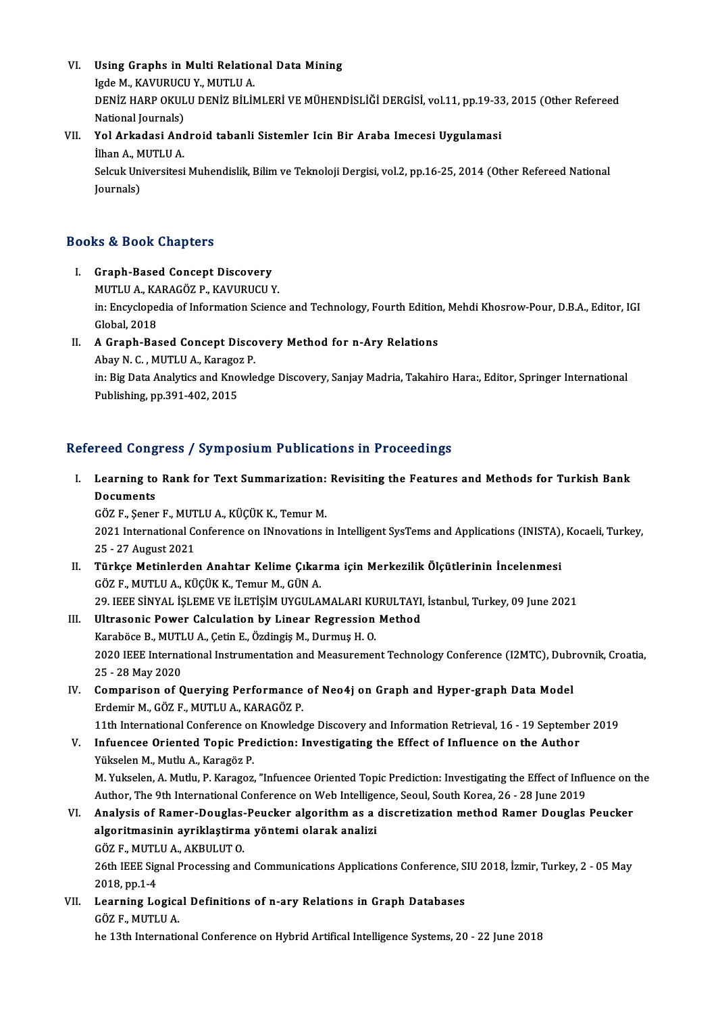VI. Using Graphs in Multi Relational Data Mining<br>Jode M. KAVUPHCU Y. MUTU JA Using Graphs in Multi Relatio<br>Igde M., KAVURUCU Y., MUTLU A.<br>DENİZ HARR QKULU DENİZ BİLİM DENİZ HARP OKULU DENİZ BİLİMLERİ VE MÜHENDİSLİĞİ DERGİSİ, vol.11, pp.19-33, 2015 (Other Refereed<br>National Journals) Igde M., KAVURUCU Y., MUTLU A. DENİZ HARP OKULU DENİZ BİLİMLERİ VE MÜHENDİSLİĞİ DERGİSİ, vol.11, pp.19-33<br>National Journals)<br>VII. Yol Arkadasi Android tabanli Sistemler Icin Bir Araba Imecesi Uygulamasi<br><sup>İlban A</sup>. MUTU LA

## National Journals)<br>**Yol Arkadasi And**<br>İlhan A., MUTLU A.<br>Seleuk Universitesi Yol Arkadasi Android tabanli Sistemler Icin Bir Araba Imecesi Uygulamasi<br>İlhan A., MUTLU A.<br>Selcuk Universitesi Muhendislik, Bilim ve Teknoloji Dergisi, vol.2, pp.16-25, 2014 (Other Refereed National<br>Journals)

İlhan A., M<br>Selcuk Un<br>Journals)

# Journals)<br>Books & Book Chapters

- I. Graph-Based Concept Discovery musika Soon dhapeers<br>Graph-Based Concept Discovery<br>MUTLU A., KARAGÖZ P., KAVURUCU Y. in: Encyclopedia of Information Science and Technology, Fourth Edition, Mehdi Khosrow-Pour, D.B.A., Editor, IGI<br>Global, 2018 MUTLU A., KA<br>in: Encyclope<br>Global, 2018 in: Encyclopedia of Information Science and Technology, Fourth Edition<br>Global, 2018<br>II. A Graph-Based Concept Discovery Method for n-Ary Relations<br>Abou N.C. MUTHUA, Karagar P.
- Global, 2018<br>**A Graph-Based Concept Disco**<br>Abay N. C. , MUTLU A., Karagoz P.<br>in: Biz Dete Anglyties and Knowlo in: Big Data Analytics and Knowledge Discovery, Sanjay Madria, Takahiro Hara:, Editor, Springer International<br>Publishing, pp.391-402, 2015 Abay N. C., MUTLU A., Karagoz P.

## Refereed Congress / Symposium Publications in Proceedings

efereed Congress / Symposium Publications in Proceedings<br>I. Learning to Rank for Text Summarization: Revisiting the Features and Methods for Turkish Bank<br>Decuments **Learning to<br>Documents<br>CÖZE Sener** Learning to Rank for Text Summarization:<br>Documents<br>GÖZ F., Şener F., MUTLU A., KÜÇÜK K., Temur M.<br>2021 International Conference on INnovationa.

Documents<br>GÖZ F., Şener F., MUTLU A., KÜÇÜK K., Temur M.<br>2021 International Conference on INnovations in Intelligent SysTems and Applications (INISTA), Kocaeli, Turkey, 302 F., Şener F., MUT<br>2021 International Co<br>25 - 27 August 2021<br>Türkse Metinlerder 2021 International Conference on INnovations in Intelligent SysTems and Applications (INISTA),<br>25 - 27 August 2021<br>II. Türkçe Metinlerden Anahtar Kelime Çıkarma için Merkezilik Ölçütlerinin İncelenmesi<br>607 E. MUTU A. KÜÇÜK

- 25 27 August 2021<br>II. Türkçe Metinlerden Anahtar Kelime Çıkarma için Merkezilik Ölçütlerinin İncelenmesi<br>GÖZ F., MUTLU A., KÜÇÜK K., Temur M., GÜN A. Türkçe Metinlerden Anahtar Kelime Çıkarma için Merkezilik Ölçütlerinin İncelenmesi<br>GÖZ F., MUTLU A., KÜÇÜK K., Temur M., GÜN A.<br>29. IEEE SİNYAL İŞLEME VE İLETİŞİM UYGULAMALARI KURULTAYI, İstanbul, Turkey, 09 June 2021<br>Ilit GÖZ F., MUTLU A., KÜÇÜK K., Temur M., GÜN A.<br>29. IEEE SİNYAL İŞLEME VE İLETİŞİM UYGULAMALARI KURULTAYI,<br>III. Ultrasonic Power Calculation by Linear Regression Method<br>Karabëga B. MUTLU A. Catin E. Özdingia M. Durmus H. O.
- 29. IEEE SİNYAL İŞLEME VE İLETİŞİM UYGULAMALARI KU<br>Ultrasonic Power Calculation by Linear Regression<br>Karaböce B., MUTLU A., Çetin E., Özdingiş M., Durmuş H. O.<br>2020 IEEE International Instrumentation and Messuremen 11. Ultrasonic Power Calculation by Linear Regression Method<br>Karaböce B., MUTLU A., Çetin E., Özdingiş M., Durmuş H. O.<br>2020 IEEE International Instrumentation and Measurement Technology Conference (I2MTC), Dubrovnik, Croa Karaböce B., MUTI<br>2020 IEEE Interna<br>25 - 28 May 2020<br>Comparison of C 2020 IEEE International Instrumentation and Measurement Technology Conference (I2MTC), Dubr<br>25 - 28 May 2020<br>IV. Comparison of Querying Performance of Neo4j on Graph and Hyper-graph Data Model<br>Frdemir M. CÖZ E. MUTUJA, KAR
- 25 28 May 2020<br>Comparison of Querying Performance<br>Erdemir M., GÖZ F., MUTLU A., KARAGÖZ P.<br>11th International Conference on Knowled Comparison of Querying Performance of Neo4j on Graph and Hyper-graph Data Model<br>Erdemir M., GÖZ F., MUTLU A., KARAGÖZ P.<br>11th International Conference on Knowledge Discovery and Information Retrieval, 16 - 19 September 201 Erdemir M., GÖZ F., MUTLU A., KARAGÖZ P.<br>11th International Conference on Knowledge Discovery and Information Retrieval, 16 - 19 September<br>11th Infuencee Oriented Topic Prediction: Investigating the Effect of Influence on
	-
	- 11th International Conference on<br>Infuencee Oriented Topic Pre<br>Yükselen M., Mutlu A., Karagöz P.<br>M. Yukselen A. Mutlu B. Karagöz P. Yükselen M., Mutlu A., Karagöz P.<br>M. Yukselen, A. Mutlu, P. Karagoz, "Infuencee Oriented Topic Prediction: Investigating the Effect of Influence on the Yükselen M., Mutlu A., Karagöz P.<br>M. Yukselen, A. Mutlu, P. Karagoz, "Infuencee Oriented Topic Prediction: Investigating the Effect of Influ<br>Author, The 9th International Conference on Web Intelligence, Seoul, South Korea,
- VI. Analysis of Ramer-Douglas-Peucker algorithmas a discretizationmethod Ramer Douglas Peucker Author, The 9th International Conference on Web Intellige<br>Analysis of Ramer-Douglas-Peucker algorithm as a<br>algoritmasinin ayriklaştirma yöntemi olarak analizi<br>CÖZE, MUTULA, AKRULUTO Analysis of Ramer-Douglas-<br>algoritmasinin ayriklaştirm<br>GÖZ F., MUTLU A., AKBULUT 0.<br>26th IEEE Signal Processing an

26th IEEE Signal Processing and Communications Applications Conference, SIU 2018, İzmir, Turkey, 2 - 05 May<br>2018, pp.1-4 GÖZ F., MUTL<br>26th IEEE Sig<br>2018, pp.1-4<br>Learning Le 26th IEEE Signal Processing and Communications Applications Conference, S<br>2018, pp.1-4<br>VII. Learning Logical Definitions of n-ary Relations in Graph Databases<br>CÖZE MITHIA

2018, pp.1-4<br>Learning Logica<br>GÖZ F., MUTLU A.<br>be 13th Internatic

GÖZ F., MUTLU A.<br>he 13th International Conference on Hybrid Artifical Intelligence Systems, 20 - 22 June 2018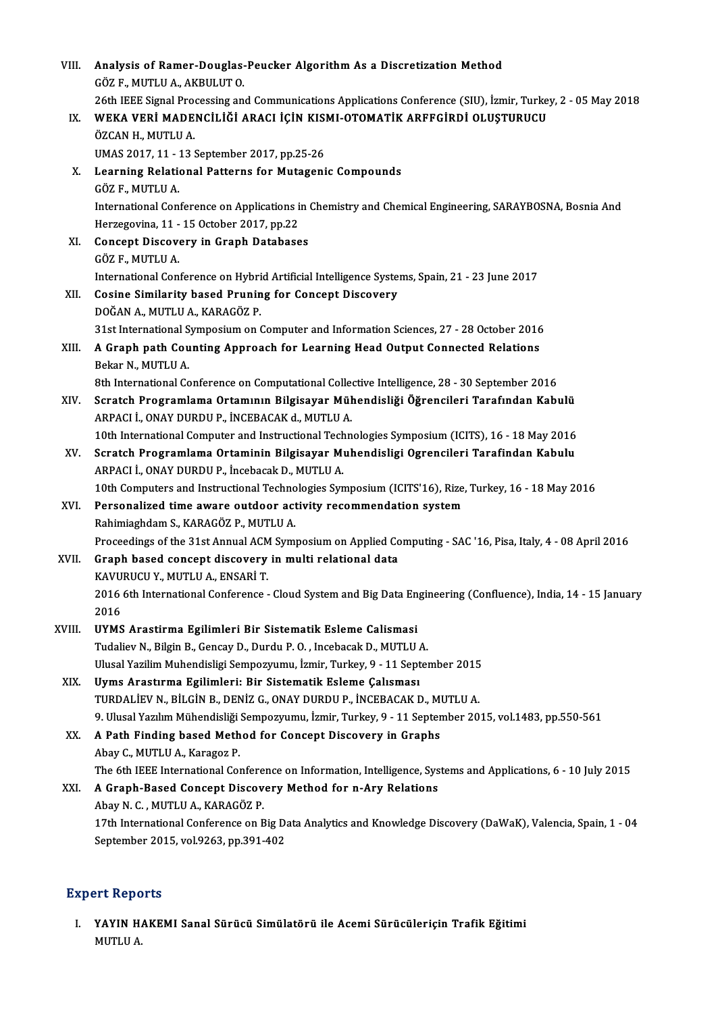| VIII.  | Analysis of Ramer-Douglas-Peucker Algorithm As a Discretization Method                                                                                                               |
|--------|--------------------------------------------------------------------------------------------------------------------------------------------------------------------------------------|
|        | GÖZ F, MUTLU A, AKBULUT O.                                                                                                                                                           |
| IX.    | 26th IEEE Signal Processing and Communications Applications Conference (SIU), İzmir, Turkey, 2 - 05 May 2018<br>WEKA VERİ MADENCİLİĞİ ARACI İÇİN KISMI-OTOMATİK ARFFGİRDİ OLUŞTURUCU |
|        | ÖZCAN H., MUTLU A.                                                                                                                                                                   |
|        | UMAS 2017, 11 - 13 September 2017, pp.25-26                                                                                                                                          |
| Х.     | Learning Relational Patterns for Mutagenic Compounds                                                                                                                                 |
|        | GÖZ F., MUTLU A.                                                                                                                                                                     |
|        | International Conference on Applications in Chemistry and Chemical Engineering, SARAYBOSNA, Bosnia And                                                                               |
|        | Herzegovina, 11 - 15 October 2017, pp.22                                                                                                                                             |
| XI.    | <b>Concept Discovery in Graph Databases</b>                                                                                                                                          |
|        | GÖZ F., MUTLU A.                                                                                                                                                                     |
|        | International Conference on Hybrid Artificial Intelligence Systems, Spain, 21 - 23 June 2017                                                                                         |
| XII.   | <b>Cosine Similarity based Pruning for Concept Discovery</b>                                                                                                                         |
|        | DOĞAN A., MUTLU A., KARAGÖZ P.                                                                                                                                                       |
|        | 31st International Symposium on Computer and Information Sciences, 27 - 28 October 2016                                                                                              |
| XIII.  | A Graph path Counting Approach for Learning Head Output Connected Relations                                                                                                          |
|        | Bekar N., MUTLU A                                                                                                                                                                    |
|        | 8th International Conference on Computational Collective Intelligence, 28 - 30 September 2016                                                                                        |
| XIV.   | Scratch Programlama Ortamının Bilgisayar Mühendisliği Öğrencileri Tarafından Kabulü                                                                                                  |
|        | ARPACI İ., ONAY DURDU P., İNCEBACAK d., MUTLU A.                                                                                                                                     |
|        | 10th International Computer and Instructional Technologies Symposium (ICITS), 16 - 18 May 2016                                                                                       |
| XV.    | Scratch Programlama Ortaminin Bilgisayar Muhendisligi Ogrencileri Tarafindan Kabulu                                                                                                  |
|        | ARPACI İ., ONAY DURDU P., İncebacak D., MUTLU A.<br>10th Computers and Instructional Technologies Symposium (ICITS'16), Rize, Turkey, 16 - 18 May 2016                               |
| XVI.   | Personalized time aware outdoor activity recommendation system                                                                                                                       |
|        | Rahimiaghdam S., KARAGÖZ P., MUTLU A.                                                                                                                                                |
|        | Proceedings of the 31st Annual ACM Symposium on Applied Computing - SAC '16, Pisa, Italy, 4 - 08 April 2016                                                                          |
| XVII.  | Graph based concept discovery in multi relational data                                                                                                                               |
|        | KAVURUCU Y., MUTLU A., ENSARİ T.                                                                                                                                                     |
|        | 2016 6th International Conference - Cloud System and Big Data Engineering (Confluence), India, 14 - 15 January                                                                       |
|        | 2016                                                                                                                                                                                 |
| XVIII. | UYMS Arastirma Egilimleri Bir Sistematik Esleme Calismasi                                                                                                                            |
|        | Tudaliev N., Bilgin B., Gencay D., Durdu P.O., Incebacak D., MUTLU A.                                                                                                                |
|        | Ulusal Yazilim Muhendisligi Sempozyumu, İzmir, Turkey, 9 - 11 September 2015                                                                                                         |
| XIX.   | Uyms Arastırma Egilimleri: Bir Sistematik Esleme Çalısması                                                                                                                           |
|        | TURDALIEV N., BILGIN B., DENIZ G., ONAY DURDU P., INCEBACAK D., MUTLU A.                                                                                                             |
|        | 9. Ulusal Yazılım Mühendisliği Sempozyumu, İzmir, Turkey, 9 - 11 September 2015, vol.1483, pp.550-561                                                                                |
| XX.    | A Path Finding based Method for Concept Discovery in Graphs                                                                                                                          |
|        | Abay C., MUTLU A., Karagoz P.                                                                                                                                                        |
|        | The 6th IEEE International Conference on Information, Intelligence, Systems and Applications, 6 - 10 July 2015                                                                       |
| XXI.   | A Graph-Based Concept Discovery Method for n-Ary Relations                                                                                                                           |
|        | Abay N. C., MUTLU A., KARAGÖZ P.                                                                                                                                                     |
|        | 17th International Conference on Big Data Analytics and Knowledge Discovery (DaWaK), Valencia, Spain, 1 - 04                                                                         |
|        | September 2015, vol 9263, pp.391-402                                                                                                                                                 |

## **Expert Reports**

Xpert Reports<br>I. YAYIN HAKEMI Sanal Sürücü Simülatörü ile Acemi Sürücüleriçin Trafik Eğitimi<br>MUTU A YAYIN H.<br>YAYIN H.<br>MUTLU A.